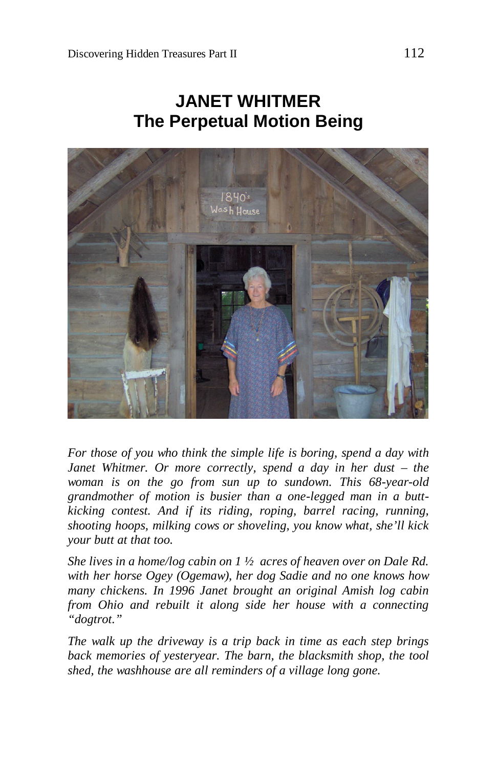# **JANET WHITMER The Perpetual Motion Being**



*For those of you who think the simple life is boring, spend a day with Janet Whitmer. Or more correctly, spend a day in her dust – the woman is on the go from sun up to sundown. This 68-year-old grandmother of motion is busier than a one-legged man in a buttkicking contest. And if its riding, roping, barrel racing, running, shooting hoops, milking cows or shoveling, you know what, she'll kick your butt at that too.*

*She lives in a home/log cabin on 1 ½ acres of heaven over on Dale Rd. with her horse Ogey (Ogemaw), her dog Sadie and no one knows how many chickens. In 1996 Janet brought an original Amish log cabin from Ohio and rebuilt it along side her house with a connecting "dogtrot."*

*The walk up the driveway is a trip back in time as each step brings back memories of yesteryear. The barn, the blacksmith shop, the tool shed, the washhouse are all reminders of a village long gone.*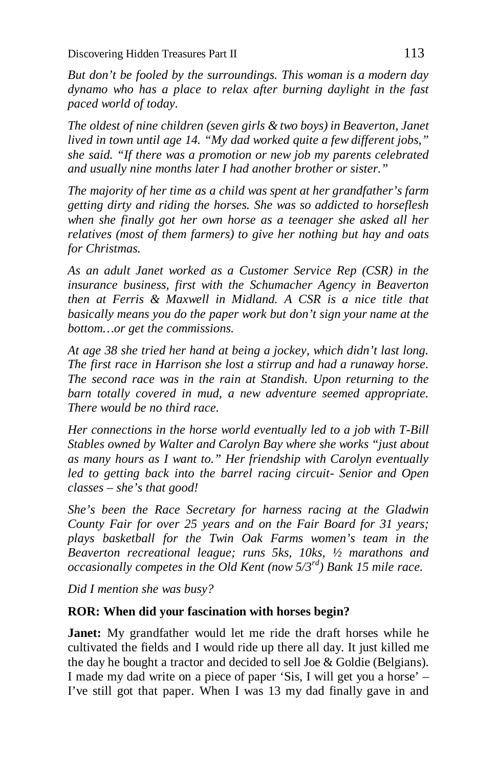*But don't be fooled by the surroundings. This woman is a modern day dynamo who has a place to relax after burning daylight in the fast paced world of today.*

*The oldest of nine children (seven girls & two boys) in Beaverton, Janet lived in town until age 14. "My dad worked quite a few different jobs," she said. "If there was a promotion or new job my parents celebrated and usually nine months later I had another brother or sister."* 

*The majority of her time as a child was spent at her grandfather's farm getting dirty and riding the horses. She was so addicted to horseflesh when she finally got her own horse as a teenager she asked all her relatives (most of them farmers) to give her nothing but hay and oats for Christmas.*

*As an adult Janet worked as a Customer Service Rep (CSR) in the insurance business, first with the Schumacher Agency in Beaverton then at Ferris & Maxwell in Midland. A CSR is a nice title that basically means you do the paper work but don't sign your name at the bottom…or get the commissions.*

*At age 38 she tried her hand at being a jockey, which didn't last long. The first race in Harrison she lost a stirrup and had a runaway horse. The second race was in the rain at Standish. Upon returning to the barn totally covered in mud, a new adventure seemed appropriate. There would be no third race.*

*Her connections in the horse world eventually led to a job with T-Bill Stables owned by Walter and Carolyn Bay where she works "just about as many hours as I want to." Her friendship with Carolyn eventually led to getting back into the barrel racing circuit- Senior and Open classes – she's that good!*

*She's been the Race Secretary for harness racing at the Gladwin County Fair for over 25 years and on the Fair Board for 31 years; plays basketball for the Twin Oak Farms women's team in the Beaverton recreational league; runs 5ks, 10ks, ½ marathons and occasionally competes in the Old Kent (now 5/3rd) Bank 15 mile race.*

*Did I mention she was busy?*

#### **ROR: When did your fascination with horses begin?**

**Janet:** My grandfather would let me ride the draft horses while he cultivated the fields and I would ride up there all day. It just killed me the day he bought a tractor and decided to sell Joe & Goldie (Belgians). I made my dad write on a piece of paper 'Sis, I will get you a horse' – I've still got that paper. When I was 13 my dad finally gave in and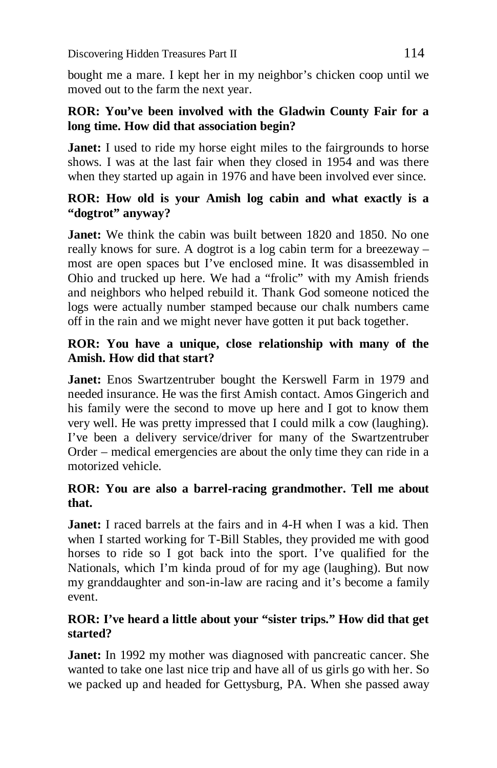bought me a mare. I kept her in my neighbor's chicken coop until we moved out to the farm the next year.

#### **ROR: You've been involved with the Gladwin County Fair for a long time. How did that association begin?**

**Janet:** I used to ride my horse eight miles to the fairgrounds to horse shows. I was at the last fair when they closed in 1954 and was there when they started up again in 1976 and have been involved ever since.

#### **ROR: How old is your Amish log cabin and what exactly is a "dogtrot" anyway?**

**Janet:** We think the cabin was built between 1820 and 1850. No one really knows for sure. A dogtrot is a log cabin term for a breezeway – most are open spaces but I've enclosed mine. It was disassembled in Ohio and trucked up here. We had a "frolic" with my Amish friends and neighbors who helped rebuild it. Thank God someone noticed the logs were actually number stamped because our chalk numbers came off in the rain and we might never have gotten it put back together.

#### **ROR: You have a unique, close relationship with many of the Amish. How did that start?**

**Janet:** Enos Swartzentruber bought the Kerswell Farm in 1979 and needed insurance. He was the first Amish contact. Amos Gingerich and his family were the second to move up here and I got to know them very well. He was pretty impressed that I could milk a cow (laughing). I've been a delivery service/driver for many of the Swartzentruber Order – medical emergencies are about the only time they can ride in a motorized vehicle.

### **ROR: You are also a barrel-racing grandmother. Tell me about that.**

**Janet:** I raced barrels at the fairs and in 4-H when I was a kid. Then when I started working for T-Bill Stables, they provided me with good horses to ride so I got back into the sport. I've qualified for the Nationals, which I'm kinda proud of for my age (laughing). But now my granddaughter and son-in-law are racing and it's become a family event.

#### **ROR: I've heard a little about your "sister trips." How did that get started?**

**Janet:** In 1992 my mother was diagnosed with pancreatic cancer. She wanted to take one last nice trip and have all of us girls go with her. So we packed up and headed for Gettysburg, PA. When she passed away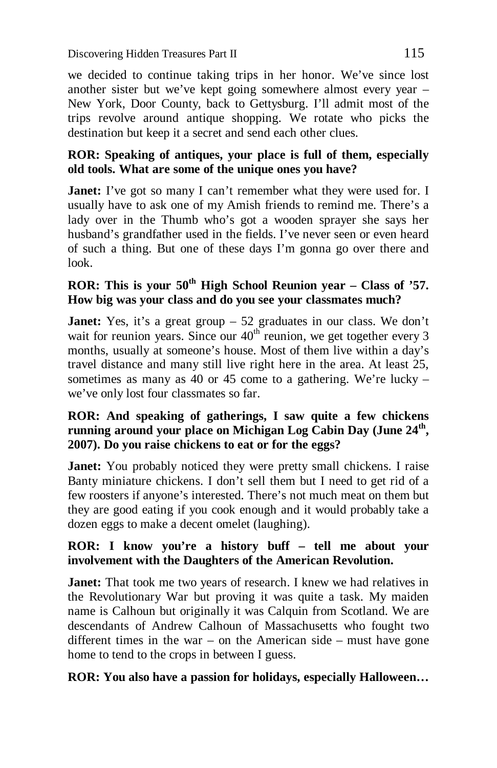we decided to continue taking trips in her honor. We've since lost another sister but we've kept going somewhere almost every year – New York, Door County, back to Gettysburg. I'll admit most of the trips revolve around antique shopping. We rotate who picks the destination but keep it a secret and send each other clues.

#### **ROR: Speaking of antiques, your place is full of them, especially old tools. What are some of the unique ones you have?**

**Janet:** I've got so many I can't remember what they were used for. I usually have to ask one of my Amish friends to remind me. There's a lady over in the Thumb who's got a wooden sprayer she says her husband's grandfather used in the fields. I've never seen or even heard of such a thing. But one of these days I'm gonna go over there and look.

## **ROR: This is your 50th High School Reunion year – Class of '57. How big was your class and do you see your classmates much?**

**Janet:** Yes, it's a great group – 52 graduates in our class. We don't wait for reunion years. Since our  $40<sup>th</sup>$  reunion, we get together every 3 months, usually at someone's house. Most of them live within a day's travel distance and many still live right here in the area. At least 25, sometimes as many as 40 or 45 come to a gathering. We're lucky – we've only lost four classmates so far.

#### **ROR: And speaking of gatherings, I saw quite a few chickens running around your place on Michigan Log Cabin Day (June 24th , 2007). Do you raise chickens to eat or for the eggs?**

**Janet:** You probably noticed they were pretty small chickens. I raise Banty miniature chickens. I don't sell them but I need to get rid of a few roosters if anyone's interested. There's not much meat on them but they are good eating if you cook enough and it would probably take a dozen eggs to make a decent omelet (laughing).

#### **ROR: I know you're a history buff – tell me about your involvement with the Daughters of the American Revolution.**

**Janet:** That took me two years of research. I knew we had relatives in the Revolutionary War but proving it was quite a task. My maiden name is Calhoun but originally it was Calquin from Scotland. We are descendants of Andrew Calhoun of Massachusetts who fought two different times in the war – on the American side – must have gone home to tend to the crops in between I guess.

#### **ROR: You also have a passion for holidays, especially Halloween…**